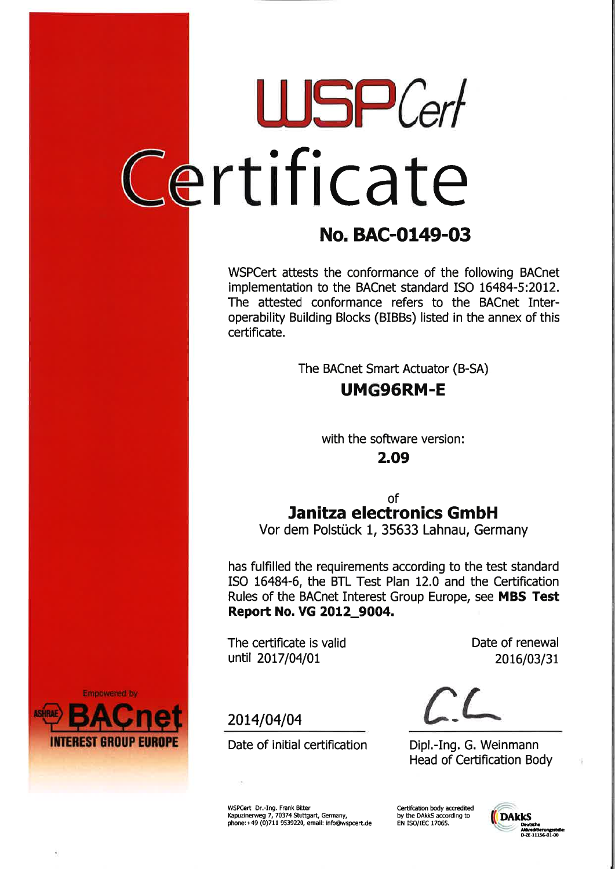## rtLUSPCerlcateificat

### No. BAC-0149-03

WSPCert attests the conformance of the following BACnetimplementation to the BACnet standard ISO 16484-5:2012. The attested conformance refers to the BACnet Interoperability Building Blocks (BIBBS) listed in the annex of thiscertificate.

The BACnet Smart Actuator (B-SA)

### UMG96RM.E

with the software version:

2.Og

ofJanitza electronics GmbH

Vor dem Polstück 1, 35633 Lahnau, Germany

has fulfilled the requirements according to the test standard ISO 16484-6, the BTL Test Plan 12.0 and the CeftificationRules of the BACnet Interest Group Europe, see M**BS Test** Repoft No. VG 2OL2\_9OO4.

The certificate is valid until 2017/04/01

2014/04/04

Date of renewal2016/03/31

 $CL$ 

 Head of Ceftifìcation BodyDipl.-Ing. G. Weinmann

WSPCert Dr.-Ing. Frank Bitter Kapuzinerweg 7, 70374 Stuttgart, Germany,<br>phone:+49 (0)711 9539220, email: info@wspcert.d

Date of initial certification

Certifcation body accredited by the DAkkS according to<br>EN ISO/IEC 17065.